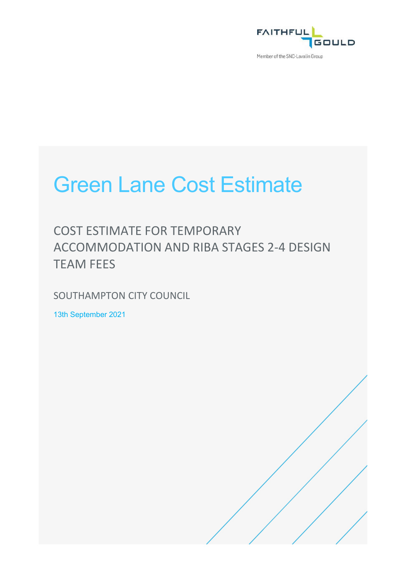

Member of the SNC-Lavalin Group

# Green Lane Cost Estimate

COST ESTIMATE FOR TEMPORARY ACCOMMODATION AND RIBA STAGES 2-4 DESIGN TEAM FEES

SOUTHAMPTON CITY COUNCIL

13th September 2021

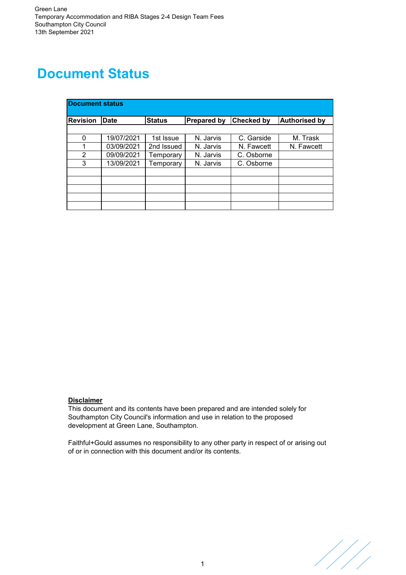### **Document Status**

| <b>Document status</b> |             |               |                    |            |                      |
|------------------------|-------------|---------------|--------------------|------------|----------------------|
| <b>Revision</b>        | <b>Date</b> | <b>Status</b> | <b>Prepared by</b> | Checked by | <b>Authorised by</b> |
|                        |             |               |                    |            |                      |
| 0                      | 19/07/2021  | 1st Issue     | N. Jarvis          | C. Garside | M. Trask             |
|                        | 03/09/2021  | 2nd Issued    | N. Jarvis          | N. Fawcett | N. Fawcett           |
| 2                      | 09/09/2021  | Temporary     | N. Jarvis          | C. Osborne |                      |
| 3                      | 13/09/2021  | Temporary     | N. Jarvis          | C. Osborne |                      |
|                        |             |               |                    |            |                      |
|                        |             |               |                    |            |                      |
|                        |             |               |                    |            |                      |
|                        |             |               |                    |            |                      |
|                        |             |               |                    |            |                      |

#### **Disclaimer**

This document and its contents have been prepared and are intended solely for Southampton City Council's information and use in relation to the proposed development at Green Lane, Southampton.

Faithful+Gould assumes no responsibility to any other party in respect of or arising out of or in connection with this document and/or its contents.

////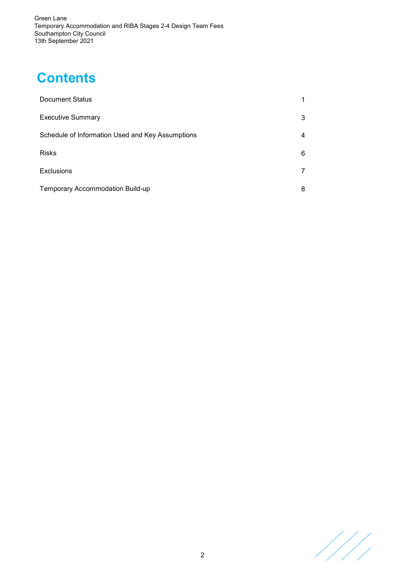### **Contents**

| <b>Document Status</b>                           |   |
|--------------------------------------------------|---|
| <b>Executive Summary</b>                         | 3 |
| Schedule of Information Used and Key Assumptions | 4 |
| <b>Risks</b>                                     | 6 |
| <b>Exclusions</b>                                | 7 |
| Temporary Accommodation Build-up                 | 8 |

////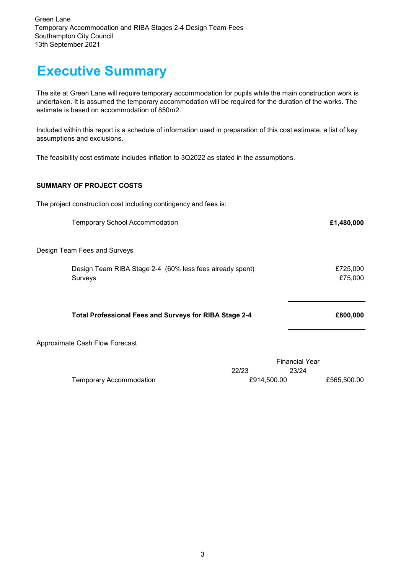### **Executive Summary**

The site at Green Lane will require temporary accommodation for pupils while the main construction work is undertaken. It is assumed the temporary accommodation will be required for the duration of the works. The estimate is based on accommodation of 850m2.

Included within this report is a schedule of information used in preparation of this cost estimate, a list of key assumptions and exclusions.

The feasibility cost estimate includes inflation to 3Q2022 as stated in the assumptions.

#### **SUMMARY OF PROJECT COSTS**

The project construction cost including contingency and fees is:

Temporary School Accommodation **£1,480,000**

Design Team Fees and Surveys

| Design Team RIBA Stage 2-4 (60% less fees already spent) | £725,000 |
|----------------------------------------------------------|----------|
| Surveys                                                  | £75,000  |

#### **Total Professional Fees and Surveys for RIBA Stage 2-4**

Approximate Cash Flow Forecast

|                         | <b>Financial Year</b> |       |             |
|-------------------------|-----------------------|-------|-------------|
|                         | 22/23                 | 23/24 |             |
| Temporary Accommodation | £914.500.00           |       | £565,500.00 |

**£800,000**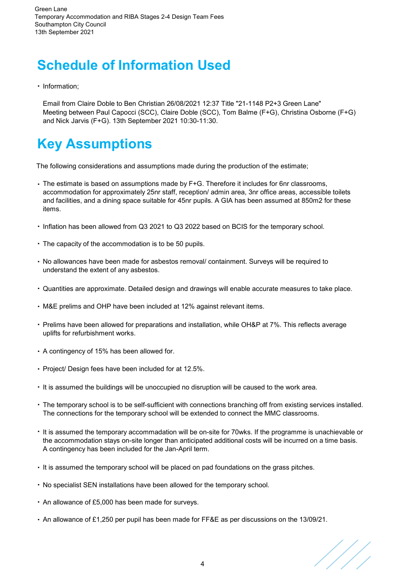# **Schedule of Information Used**

· Information;

Email from Claire Doble to Ben Christian 26/08/2021 12:37 Title "21-1148 P2+3 Green Lane" Meeting between Paul Capocci (SCC), Claire Doble (SCC), Tom Balme (F+G), Christina Osborne (F+G) and Nick Jarvis (F+G). 13th September 2021 10:30-11:30.

# **Key Assumptions**

The following considerations and assumptions made during the production of the estimate;

- · The estimate is based on assumptions made by F+G. Therefore it includes for 6nr classrooms, accommodation for approximately 25nr staff, reception/ admin area, 3nr office areas, accessible toilets and facilities, and a dining space suitable for 45nr pupils. A GIA has been assumed at 850m2 for these items.
- · Inflation has been allowed from Q3 2021 to Q3 2022 based on BCIS for the temporary school.
- · The capacity of the accommodation is to be 50 pupils.
- · No allowances have been made for asbestos removal/ containment. Surveys will be required to understand the extent of any asbestos.
- · Quantities are approximate. Detailed design and drawings will enable accurate measures to take place.
- · M&E prelims and OHP have been included at 12% against relevant items.
- · Prelims have been allowed for preparations and installation, while OH&P at 7%. This reflects average uplifts for refurbishment works.
- · A contingency of 15% has been allowed for.
- · Project/ Design fees have been included for at 12.5%.
- · It is assumed the buildings will be unoccupied no disruption will be caused to the work area.
- · The temporary school is to be self-sufficient with connections branching off from existing services installed. The connections for the temporary school will be extended to connect the MMC classrooms.
- · It is assumed the temporary accommadation will be on-site for 70wks. If the programme is unachievable or the accommodation stays on-site longer than anticipated additional costs will be incurred on a time basis. A contingency has been included for the Jan-April term.
- · It is assumed the temporary school will be placed on pad foundations on the grass pitches.
- · No specialist SEN installations have been allowed for the temporary school.
- · An allowance of £5,000 has been made for surveys.
- · An allowance of £1,250 per pupil has been made for FF&E as per discussions on the 13/09/21.

///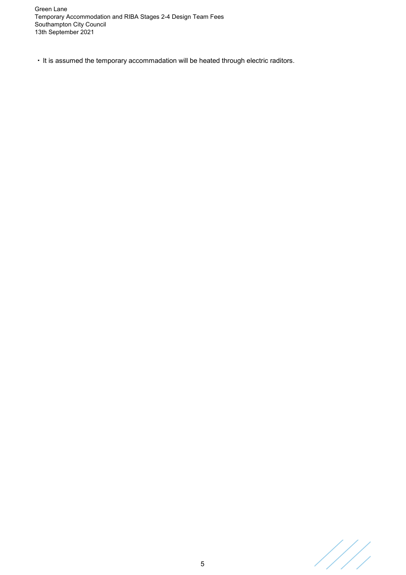· It is assumed the temporary accommadation will be heated through electric raditors.

////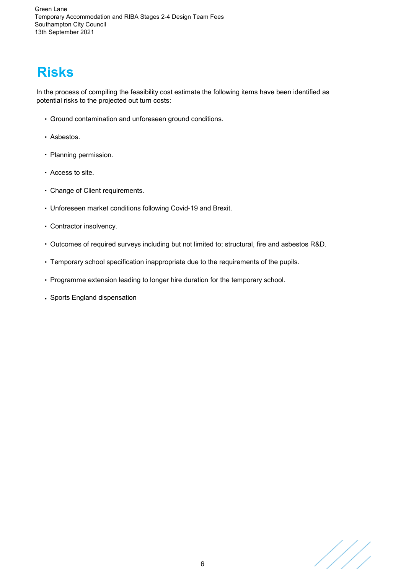# **Risks**

In the process of compiling the feasibility cost estimate the following items have been identified as potential risks to the projected out turn costs:

- · Ground contamination and unforeseen ground conditions.
- · Asbestos.
- · Planning permission.
- · Access to site.
- · Change of Client requirements.
- · Unforeseen market conditions following Covid-19 and Brexit.
- · Contractor insolvency.
- · Outcomes of required surveys including but not limited to; structural, fire and asbestos R&D.
- · Temporary school specification inappropriate due to the requirements of the pupils.
- · Programme extension leading to longer hire duration for the temporary school.
- · Sports England dispensation

///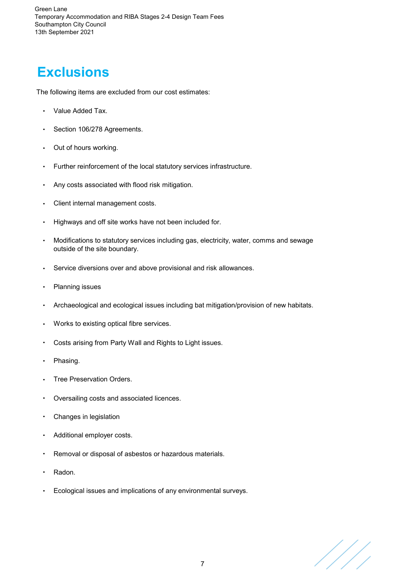## **Exclusions**

The following items are excluded from our cost estimates:

- Value Added Tax.
- Section 106/278 Agreements.
- · Out of hours working.
- Further reinforcement of the local statutory services infrastructure.
- · Any costs associated with flood risk mitigation.
- · Client internal management costs.
- · Highways and off site works have not been included for.
- · Modifications to statutory services including gas, electricity, water, comms and sewage outside of the site boundary.
- Service diversions over and above provisional and risk allowances.
- Planning issues
- · Archaeological and ecological issues including bat mitigation/provision of new habitats.
- · Works to existing optical fibre services.
- Costs arising from Party Wall and Rights to Light issues.
- · Phasing.
- Tree Preservation Orders.
- Oversailing costs and associated licences.
- · Changes in legislation
- Additional employer costs.
- Removal or disposal of asbestos or hazardous materials.
- · Radon.
- Ecological issues and implications of any environmental surveys.

///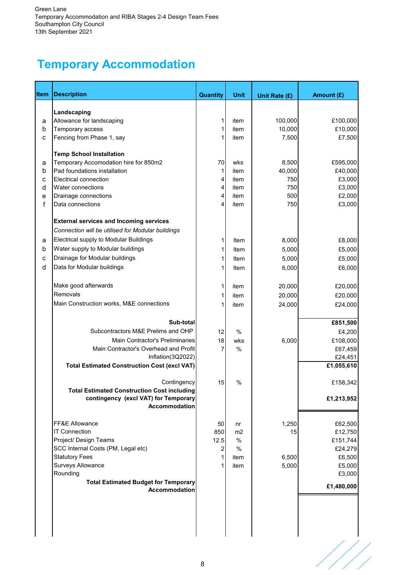### **Temporary Accommodation**

| Item   | <b>Description</b>                                                                         | Quantity         | <b>Unit</b>          | Unit Rate (£)  | Amount (£)         |
|--------|--------------------------------------------------------------------------------------------|------------------|----------------------|----------------|--------------------|
|        |                                                                                            |                  |                      |                |                    |
|        | Landscaping<br>Allowance for landscaping                                                   | 1                | item                 | 100,000        | £100,000           |
| а<br>b | Temporary access                                                                           | 1                | item                 | 10,000         | £10,000            |
| C      | Fencing from Phase 1, say                                                                  |                  | item                 | 7,500          | £7,500             |
|        |                                                                                            |                  |                      |                |                    |
|        | <b>Temp School Installation</b>                                                            |                  |                      |                |                    |
| a      | Temporary Accomodation hire for 850m2                                                      | 70               | wks                  | 8,500          | £595,000           |
| b      | Pad foundations installation                                                               | 1                | item                 | 40,000         | £40,000            |
| c      | Electrical connection                                                                      | 4                | item                 | 750            | £3,000             |
| d      | Water connections                                                                          | 4                | item                 | 750            | £3,000             |
| е      | Drainage connections                                                                       | 4<br>4           | item                 | 500            | £2,000             |
| f      | Data connections                                                                           |                  | item                 | 750            | £3,000             |
|        | <b>External services and Incoming services</b>                                             |                  |                      |                |                    |
|        | Connection will be utilised for Modular buildings                                          |                  |                      |                |                    |
| a      | Electrical supply to Modular Buildings                                                     | 1                | Item                 | 8,000          | £8,000             |
| b      | Water supply to Modular buildings                                                          | 1                | Item                 | 5,000          | £5,000             |
| C      | Drainage for Modular buildings                                                             | 1                | Item                 | 5,000          | £5,000             |
| d      | Data for Modular buildings                                                                 | 1                | Item                 | 6,000          | £6,000             |
|        |                                                                                            |                  |                      |                |                    |
|        | Make good afterwards                                                                       | 1                | item                 | 20,000         | £20,000            |
|        | Removals                                                                                   | 1                | item                 | 20,000         | £20,000            |
|        | Main Construction works, M&E connections                                                   |                  | item                 | 24,000         | £24,000            |
|        | Sub-total                                                                                  |                  |                      |                |                    |
|        | Subcontractors M&E Prelims and OHP                                                         |                  |                      |                | £851,500           |
|        | <b>Main Contractor's Preliminaries</b>                                                     | 12<br>18         | $\frac{0}{0}$<br>wks | 6,000          | £4,200<br>£108,000 |
|        | Main Contractor's Overhead and Profit                                                      | 7                | $\frac{0}{0}$        |                | £67,459            |
|        | Inflation(3Q2022)                                                                          |                  |                      |                | £24,451            |
|        | <b>Total Estimated Construction Cost (excl VAT)</b>                                        |                  |                      |                | £1,055,610         |
|        |                                                                                            |                  |                      |                |                    |
|        | Contingency                                                                                | 15               | %                    |                | £158,342           |
|        | <b>Total Estimated Construction Cost including</b><br>contingency (excl VAT) for Temporary |                  |                      |                | £1,213,952         |
|        | Accommodation                                                                              |                  |                      |                |                    |
|        |                                                                                            |                  |                      |                |                    |
|        | FF&E Allowance                                                                             | 50               | nr                   | 1,250          | £62,500            |
|        | <b>IT Connection</b>                                                                       | 850              | m2                   | 15             | £12,750            |
|        | Project/ Design Teams                                                                      | 12.5             | %                    |                | £151,744           |
|        | SCC Internal Costs (PM, Legal etc)                                                         | $\boldsymbol{2}$ | $\%$                 |                | £24,279            |
|        | <b>Statutory Fees</b><br><b>Surveys Allowance</b>                                          | 1                | item                 | 6,500<br>5,000 | £6,500             |
|        | Rounding                                                                                   |                  | item                 |                | £5,000<br>£3,000   |
|        | <b>Total Estimated Budget for Temporary</b>                                                |                  |                      |                |                    |
|        | Accommodation                                                                              |                  |                      |                | £1,480,000         |
|        |                                                                                            |                  |                      |                |                    |
|        |                                                                                            |                  |                      |                |                    |
|        |                                                                                            |                  |                      |                |                    |

////